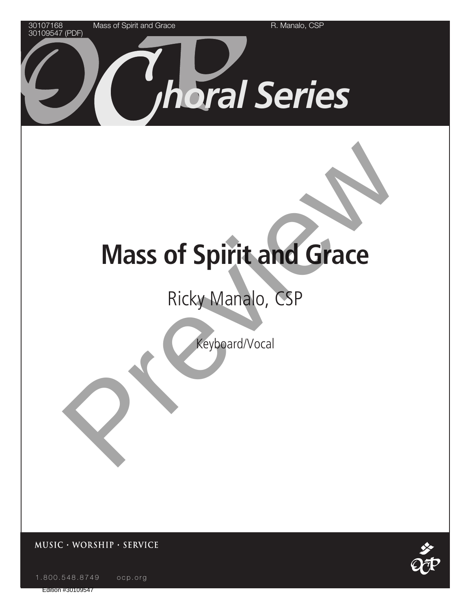

1.800.548.8749 ocp.org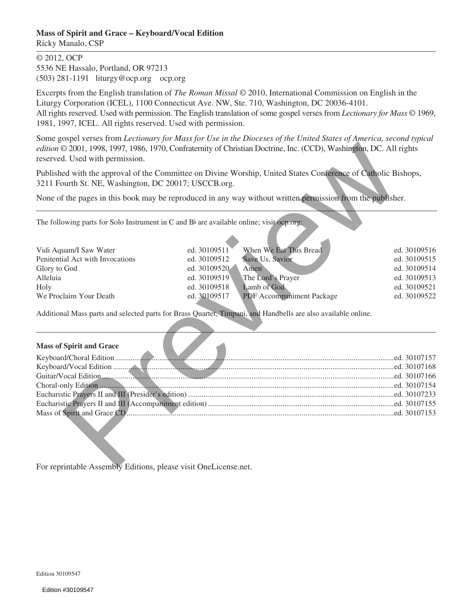#### **Mass of Spirit and Grace – Keyboard/Vocal Edition**

Ricky Manalo, CSP

© 2012, OCP 5536 NE Hassalo, Portland, OR 97213 (503) 281-1191 liturgy@ocp.org ocp.org

Excerpts from the English translation of *The Roman Missal* © 2010, International Commission on English in the Liturgy Corporation (ICEL), 1100 Connecticut Ave. NW, Ste. 710, Washington, DC 20036-4101. All rights reserved. Used with permission. The English translation of some gospel verses from *Lectionary for Mass* © 1969, 1981, 1997, ICEL. All rights reserved. Used with permission.

Some gospel verses from *Lectionary for Mass for Use in the Dioceses of the United States of America, second typical edition* © 2001, 1998, 1997, 1986, 1970, Confraternity of Christian Doctrine, Inc. (CCD), Washington, DC. All rights reserved. Used with permission.

| Vidi Aquam/I Saw Water           | ed. $30109511$ | When We Eat This Bread           | ed. 30109516 |
|----------------------------------|----------------|----------------------------------|--------------|
| Penitential Act with Invocations | ed. 30109512   | Save Us, Savior                  | ed. 30109515 |
| Glory to God                     | ed. 30109520   | Amen                             | ed. 30109514 |
| Alleluia                         | ed. $30109519$ | The Lord's Prayer                | ed. 30109513 |
| Holy                             | ed. 30109518   | Lamb of God                      | ed. 30109521 |
| We Proclaim Your Death           | ed. 30109517   | <b>PDF</b> Accompaniment Package | ed. 30109522 |

#### **Mass of Spirit and Grace**

| edition © 2001, 1998, 1997, 1986, 1970, Confraternity of Christian Doctrine, Inc. (CCD), Washington, DC. All rights<br>reserved. Used with permission.                |              |                                  |              |
|-----------------------------------------------------------------------------------------------------------------------------------------------------------------------|--------------|----------------------------------|--------------|
| Published with the approval of the Committee on Divine Worship, United States Conference of Catholic Bishops,<br>3211 Fourth St. NE, Washington, DC 20017; USCCB.org. |              |                                  |              |
| None of the pages in this book may be reproduced in any way without written permission from the publisher.                                                            |              |                                  |              |
| The following parts for Solo Instrument in C and Bb are available online; visit ocp.org;                                                                              |              |                                  |              |
|                                                                                                                                                                       |              |                                  |              |
| Vidi Aquam/I Saw Water                                                                                                                                                | ed. 30109511 | When We Eat This Bread           | ed. 30109516 |
| Penitential Act with Invocations                                                                                                                                      | ed. 30109512 | Save Us, Savior                  | ed. 30109515 |
| Glory to God                                                                                                                                                          | ed. 30109520 | Amen                             | ed. 30109514 |
| Alleluia                                                                                                                                                              | ed. 30109519 | The Lord's Prayer                | ed. 30109513 |
| Holy                                                                                                                                                                  | ed. 30109518 | Lamb of God                      | ed. 30109521 |
| We Proclaim Your Death                                                                                                                                                | ed. 30109517 | <b>PDF</b> Accompaniment Package | ed. 30109522 |
| Additional Mass parts and selected parts for Brass Quartet, Timpani, and Handbells are also available online.                                                         |              |                                  |              |
| <b>Mass of Spirit and Grace</b>                                                                                                                                       |              |                                  |              |
|                                                                                                                                                                       |              |                                  |              |
|                                                                                                                                                                       |              |                                  |              |
|                                                                                                                                                                       |              |                                  |              |
|                                                                                                                                                                       |              |                                  |              |
|                                                                                                                                                                       |              |                                  |              |
|                                                                                                                                                                       |              |                                  |              |
|                                                                                                                                                                       |              |                                  |              |
| For reprinted Assembly Editions, places visit Opel icanse not                                                                                                         |              |                                  |              |

For reprintable Assembly Editions, please visit OneLicense.net.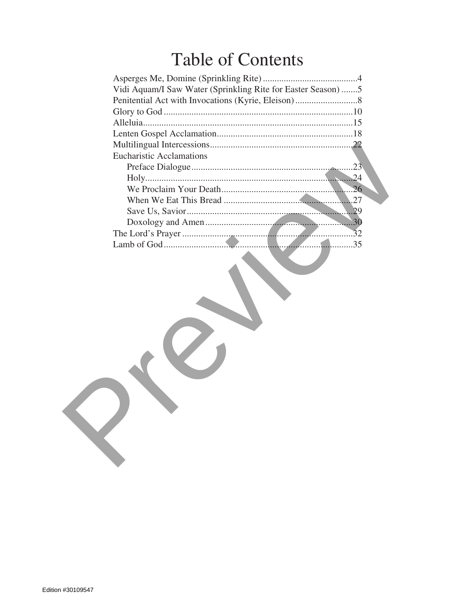# **Table of Contents**

| Vidi Aquam/I Saw Water (Sprinkling Rite for Easter Season) |                |
|------------------------------------------------------------|----------------|
|                                                            |                |
|                                                            |                |
|                                                            |                |
|                                                            |                |
|                                                            |                |
| Eucharistic Acclamations                                   |                |
|                                                            |                |
|                                                            | $\mathcal{D}4$ |
|                                                            | .26            |
|                                                            | 27             |
|                                                            | $\sqrt{29}$    |
|                                                            |                |
|                                                            |                |
|                                                            |                |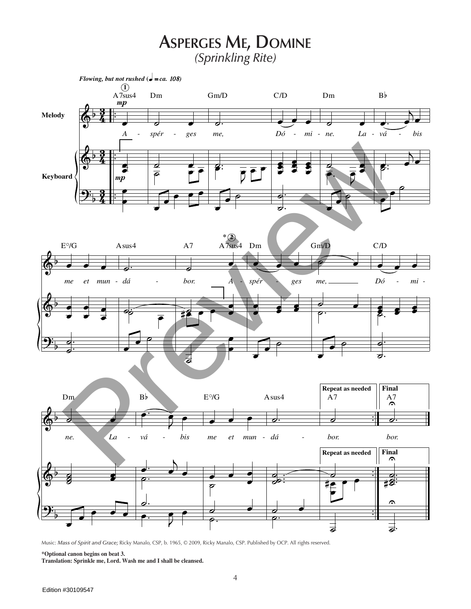#### **Asperges Me, Domine** *(Sprinkling Rite)*



Music: *Mass of Spirit and Grace;* Ricky Manalo, CSP, b. 1965, © 2009, Ricky Manalo, CSP. Published by OCP. All rights reserved.

**\*Optional canon begins on beat 3.**

**Translation: Sprinkle me, Lord. Wash me and I shall be cleansed.**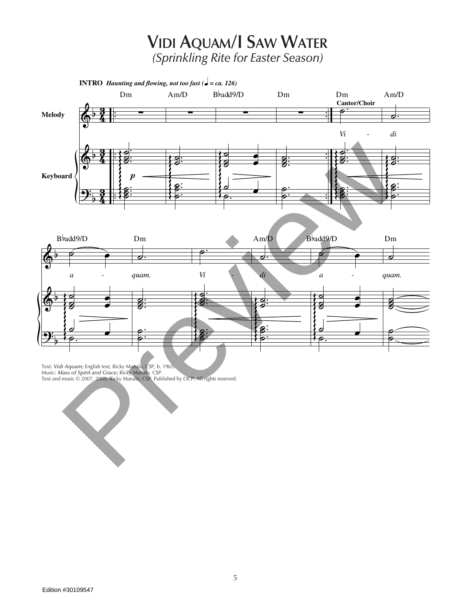#### **Vidi Aquam/I Saw Water** *(Sprinkling Rite for Easter Season)*





Text: *Vidi Aquam;* English text, Ricky Manalo, CSP, b. 1965. Music: *Mass of Spirit and Grace;* Ricky Manalo, CSP.

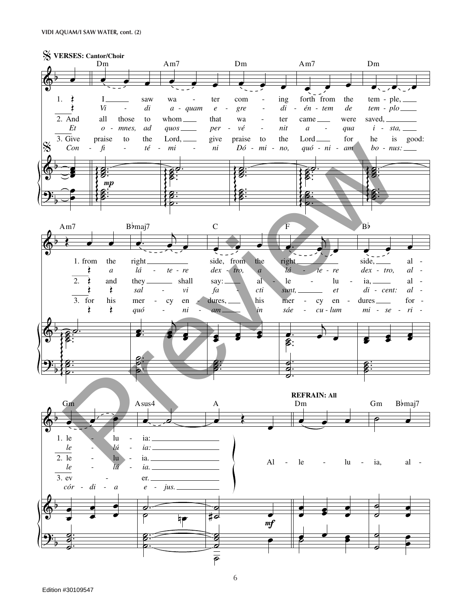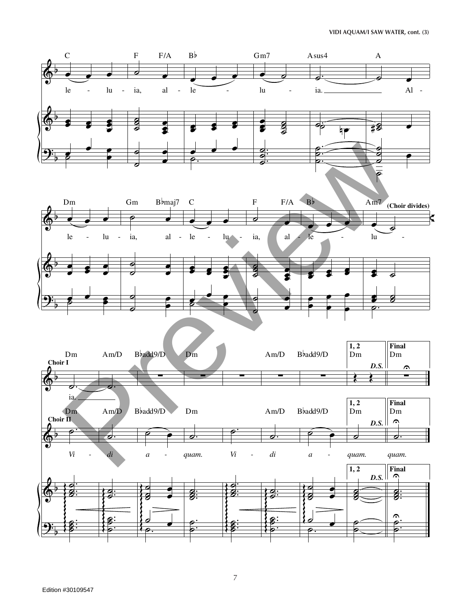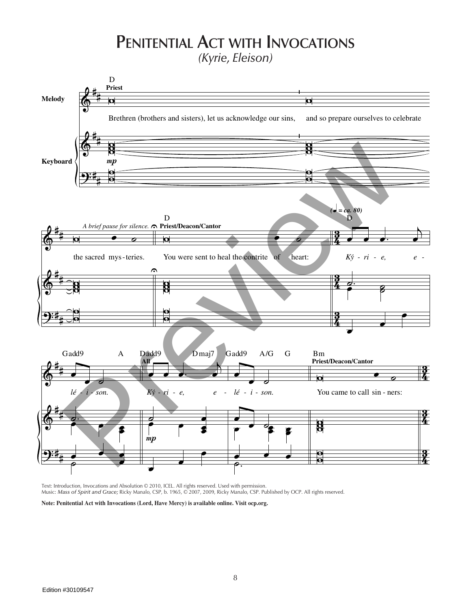#### **Penitential Act with Invocations** *(Kyrie, Eleison)*



Text: Introduction, Invocations and Absolution © 2010, ICEL. All rights reserved. Used with permission.<br>Music: *Mass of Spirit and Grace;* Ricky Manalo, CSP, b. 1965, © 2007, 2009, Ricky Manalo, CSP. Published by OCP. All

**Note: Penitential Act with Invocations (Lord, Have Mercy) is available online. Visit ocp.org.**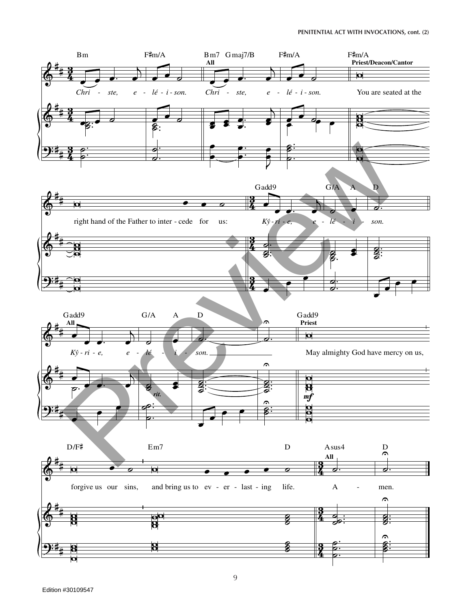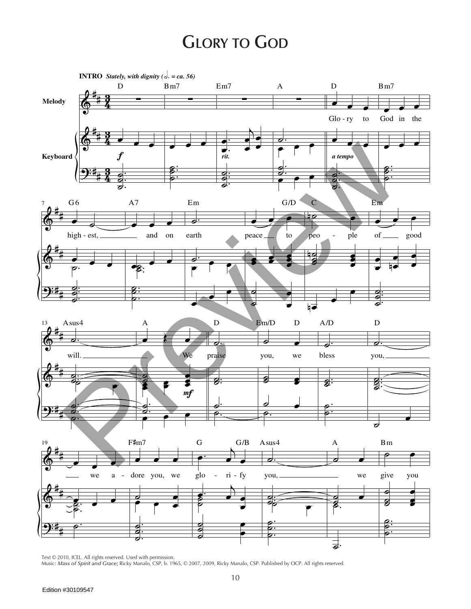## **Glory to God**



Text © 2010, ICEL. All rights reserved. Used with permission.

Music: *Mass of Spirit and Grace;* Ricky Manalo, CSP, b. 1965, © 2007, 2009, Ricky Manalo, CSP. Published by OCP. All rights reserved.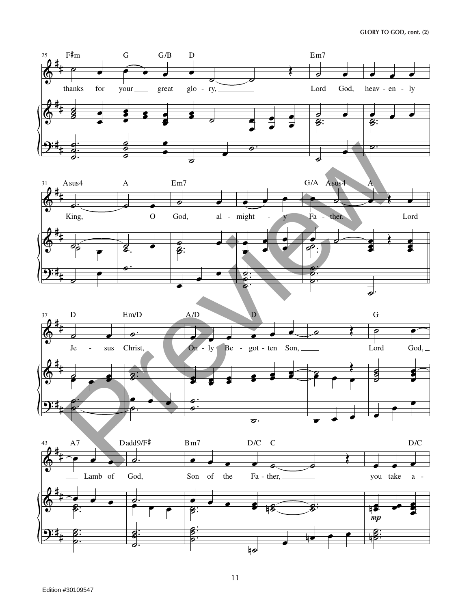



˙.

 $\overrightarrow{e}$ 

œ

œ

œ

.<br>ق  $\frac{1}{2}$ 

 $\overline{\cdot}$ 

# # . ˙  $\frac{1}{2}$ 

˙.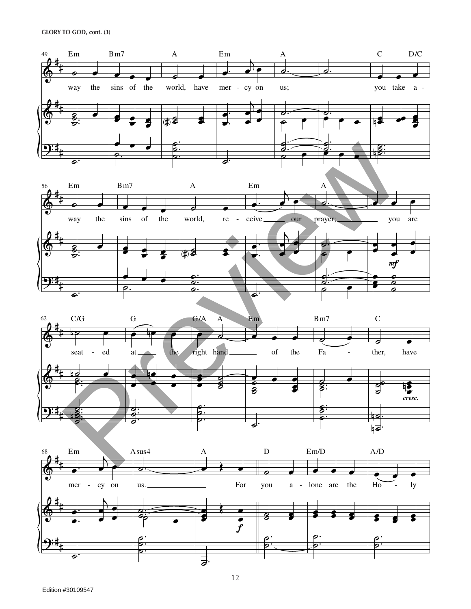





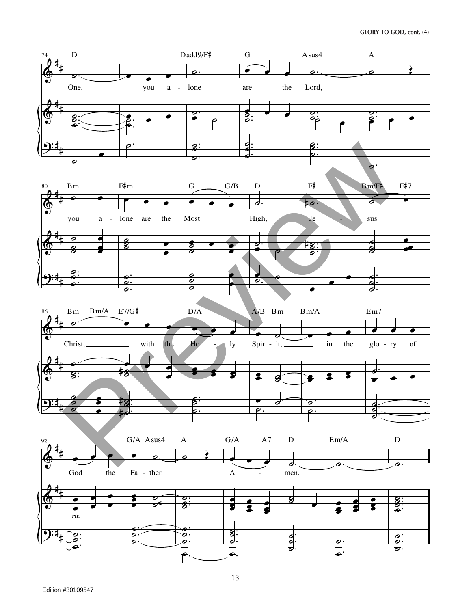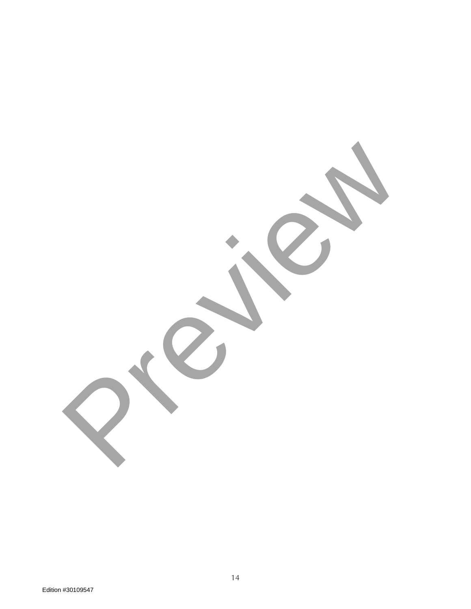Previews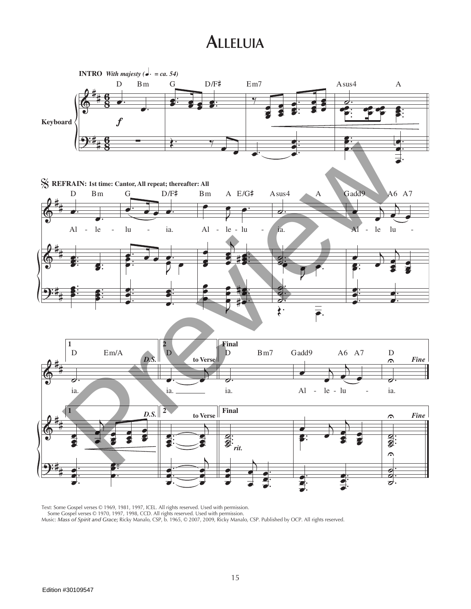#### **Alleluia**



Text: Some Gospel verses © 1969, 1981, 1997, ICEL. All rights reserved. Used with permission.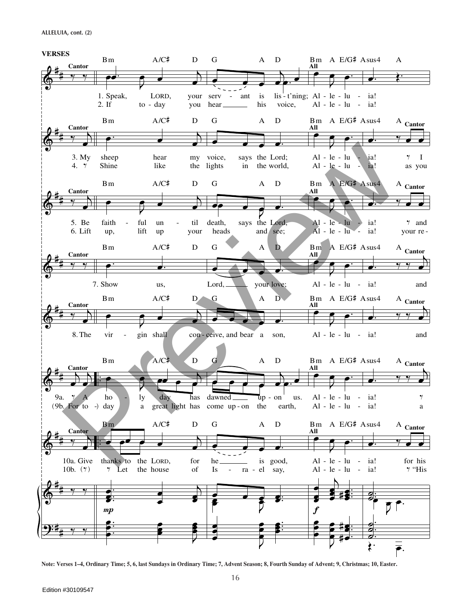**ALLELUIA, cont. (2)**



**Note: Verses 1–4, Ordinary Time; 5, 6, last Sundays in Ordinary Time; 7, Advent Season; 8, Fourth Sunday of Advent; 9, Christmas; 10, Easter.**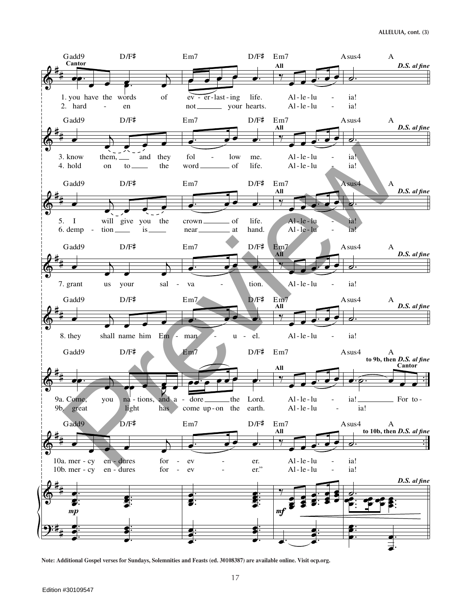

**Note: Additional Gospel verses for Sundays, Solemnities and Feasts (ed. 30108387) are available online. Visit ocp.org.**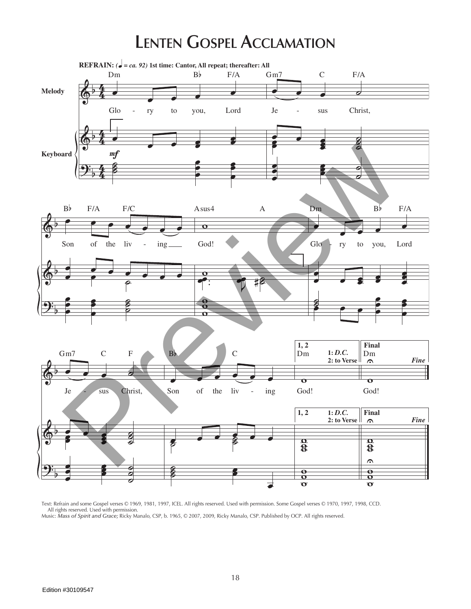# **Lenten Gospel Acclamation**



Text: Refrain and some Gospel verses © 1969, 1981, 1997, ICEL. All rights reserved. Used with permission. Some Gospel verses © 1970, 1997, 1998, CCD. All rights reserved. Used with permission.

Music: *Mass of Spirit and Grace;* Ricky Manalo, CSP, b. 1965, © 2007, 2009, Ricky Manalo, CSP. Published by OCP. All rights reserved.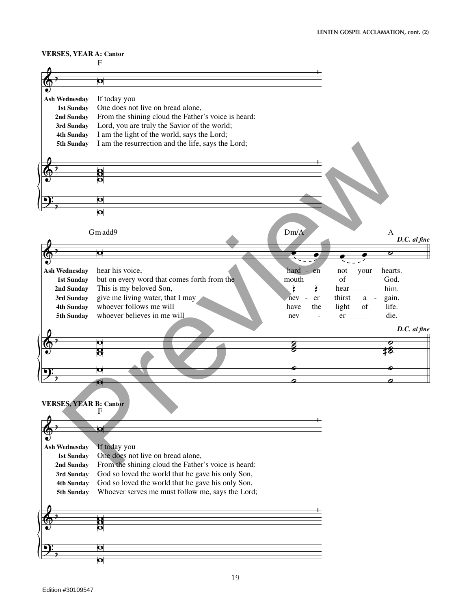#### **VERSES, YEAR A: Cantor**

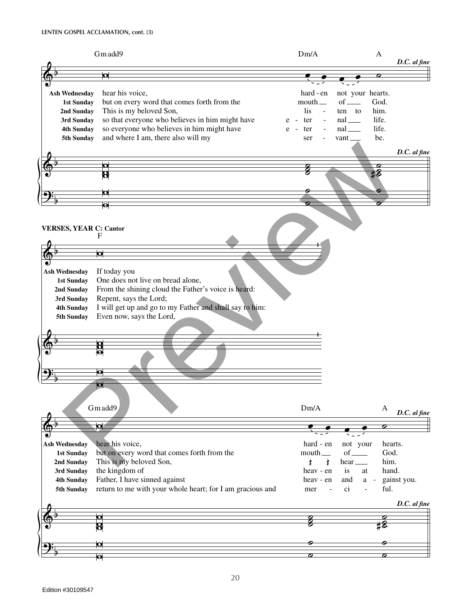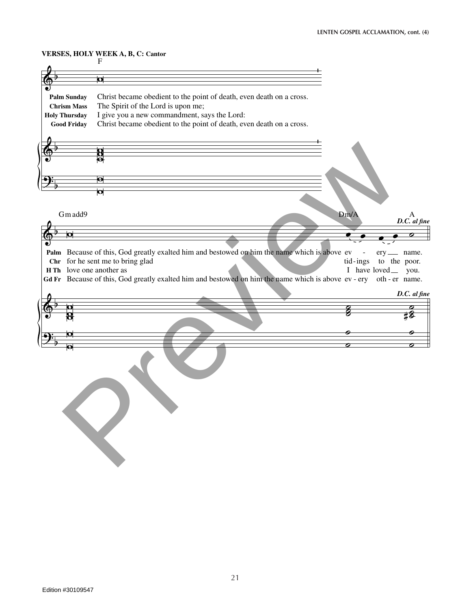#### **VERSES, HOLY WEEK A, B, C: Cantor**

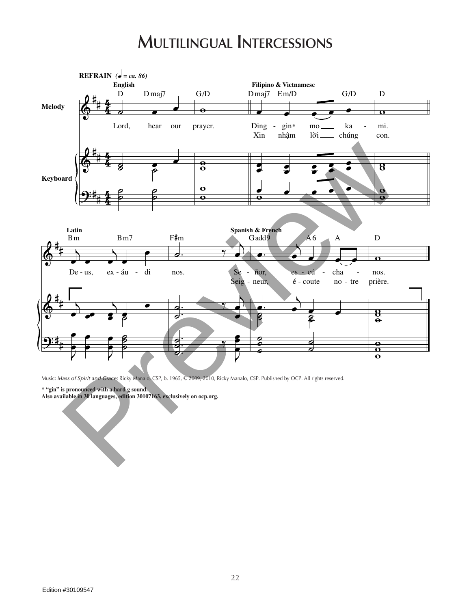## **Multilingual Intercessions**



Music: *Mass of Spirit and Grace;* Ricky Manalo, CSP, b. 1965, © 2009, 2010, Ricky Manalo, CSP. Published by OCP. All rights reserved.

**\* "gin" is pronounced with a hard g sound.**

**Also available in 30 languages, edition 30107163, exclusively on ocp.org.**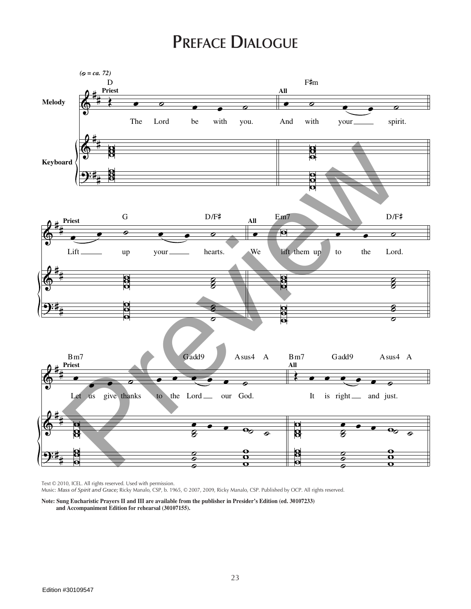## **Preface Dialogue**



Text © 2010, ICEL. All rights reserved. Used with permission.<br>Music: *Mass of Spirit and Grace;* Ricky Manalo, CSP, b. 1965, © 2007, 2009, Ricky Manalo, CSP. Published by OCP. All rights reserved.

**Note: Sung Eucharistic Prayers II and III are available from the publisher in Presider's Edition (ed. 30107233) and Accompaniment Edition for rehearsal (30107155).**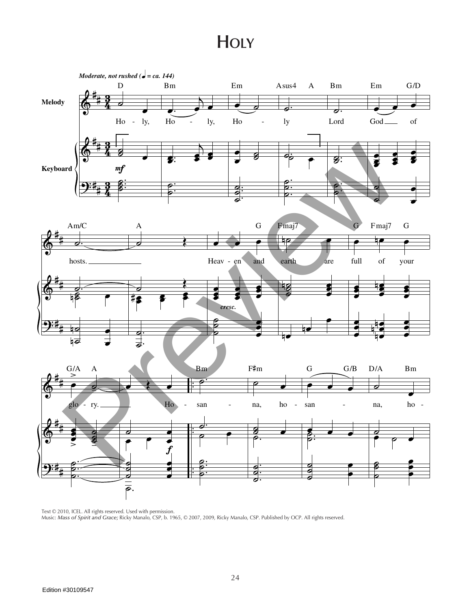## **Holy**

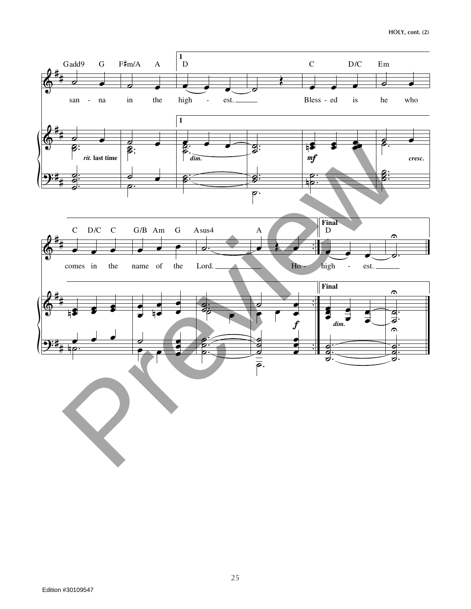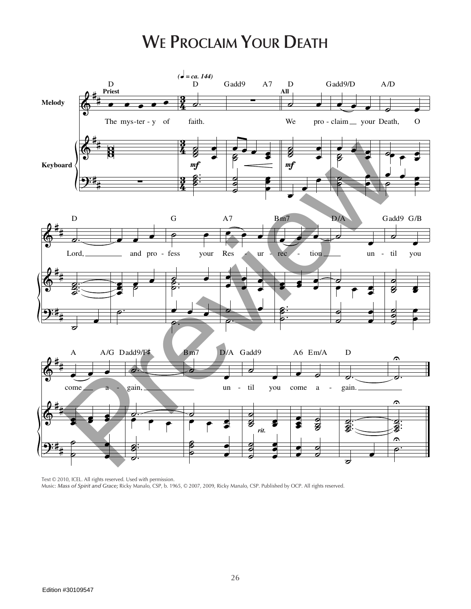## **We Proclaim Your Death**

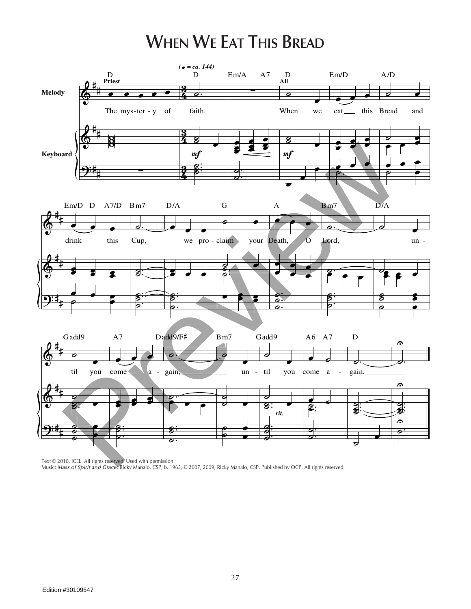#### **When We Eat This Bread**

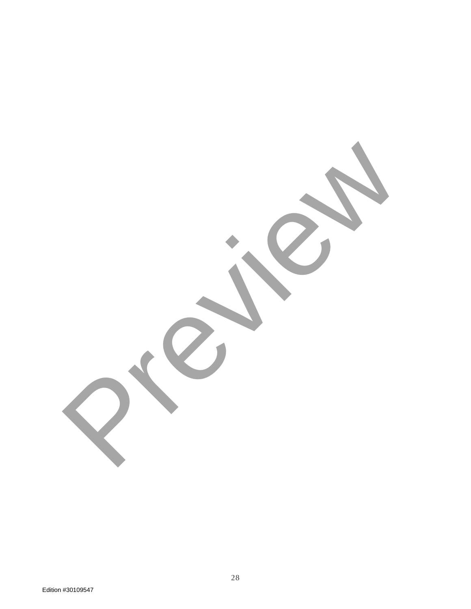Previews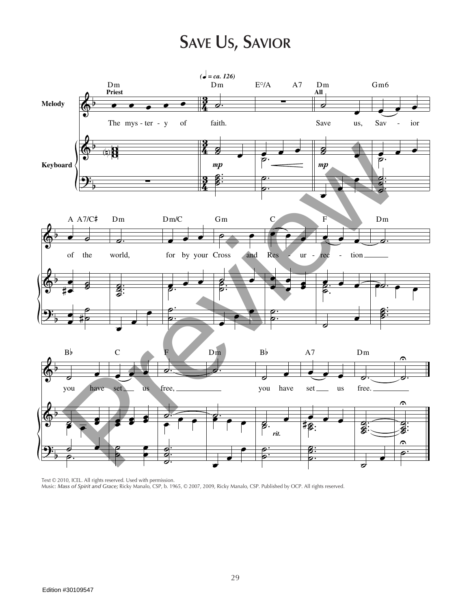# **Save Us, Savior**

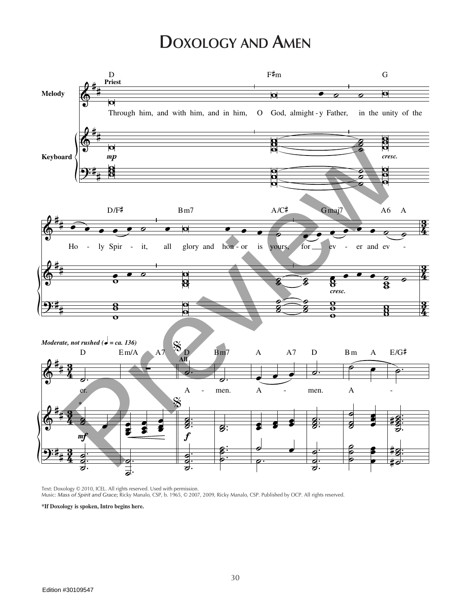#### **Doxology and Amen**



Text: Doxology © 2010, ICEL. All rights reserved. Used with permission. Music: *Mass of Spirit and Grace;* Ricky Manalo, CSP, b. 1965, © 2007, 2009, Ricky Manalo, CSP. Published by OCP. All rights reserved.

**\*If Doxology is spoken, Intro begins here.**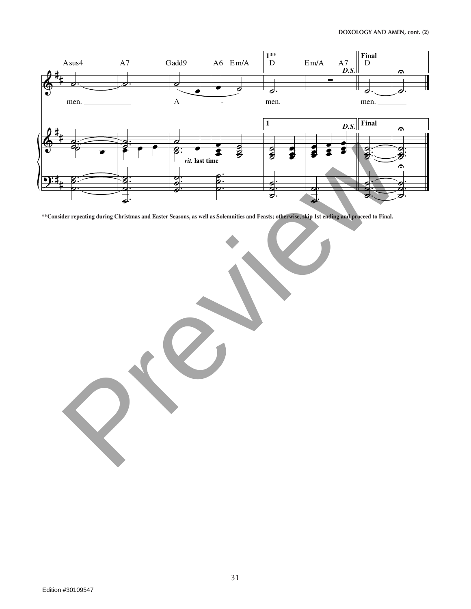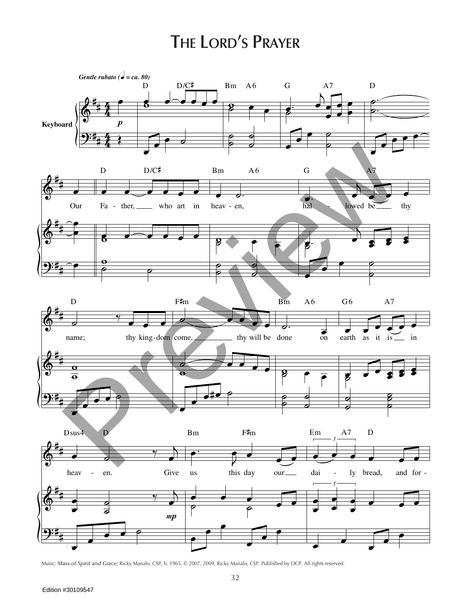# **The Lord's Prayer**



Music: *Mass of Spirit and Grace;* Ricky Manalo, CSP, b. 1965, © 2007, 2009, Ricky Manalo, CSP. Published by OCP. All rights reserved.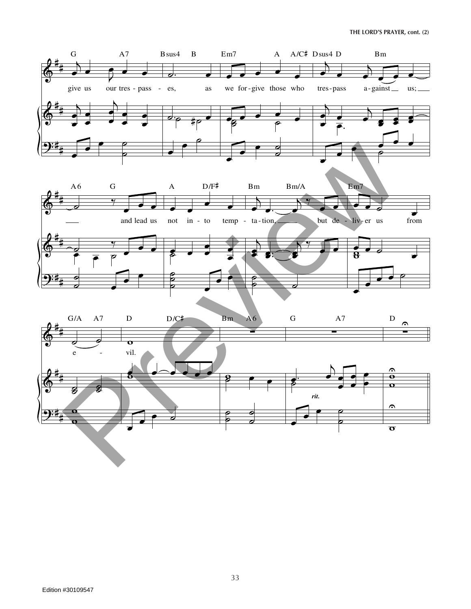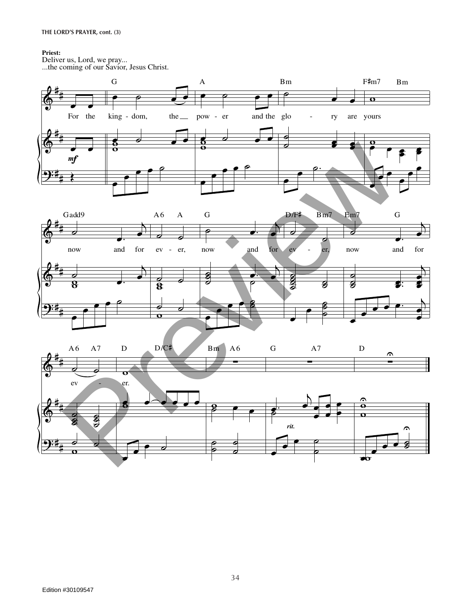**Priest:** Deliver us, Lord, we pray... ...the coming of our Savior, Jesus Christ.

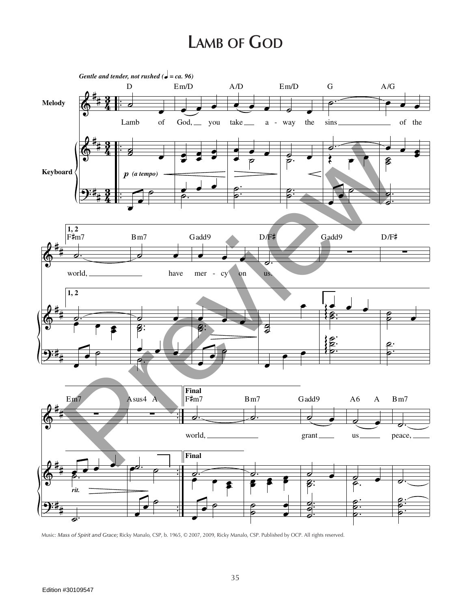## **Lamb of God**



Music: *Mass of Spirit and Grace;* Ricky Manalo, CSP, b. 1965, © 2007, 2009, Ricky Manalo, CSP. Published by OCP. All rights reserved.